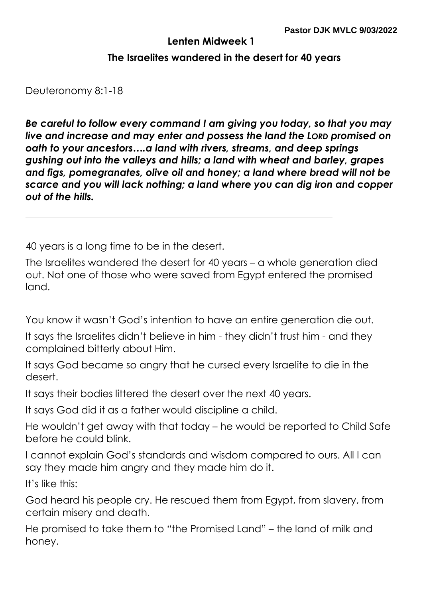## **Lenten Midweek 1**

## **The Israelites wandered in the desert for 40 years**

Deuteronomy 8:1-18

*Be careful to follow every command I am giving you today, so that you may live and increase and may enter and possess the land the LORD promised on oath to your ancestors….a land with rivers, streams, and deep springs gushing out into the valleys and hills; a land with wheat and barley, grapes and figs, pomegranates, olive oil and honey; a land where bread will not be scarce and you will lack nothing; a land where you can dig iron and copper out of the hills.*

40 years is a long time to be in the desert.

The Israelites wandered the desert for 40 years – a whole generation died out. Not one of those who were saved from Egypt entered the promised land.

You know it wasn't God's intention to have an entire generation die out.

It says the Israelites didn't believe in him - they didn't trust him - and they complained bitterly about Him.

It says God became so angry that he cursed every Israelite to die in the desert.

It says their bodies littered the desert over the next 40 years.

It says God did it as a father would discipline a child.

He wouldn't get away with that today – he would be reported to Child Safe before he could blink.

I cannot explain God's standards and wisdom compared to ours. All I can say they made him angry and they made him do it.

It's like this:

God heard his people cry. He rescued them from Egypt, from slavery, from certain misery and death.

He promised to take them to "the Promised Land" – the land of milk and honey.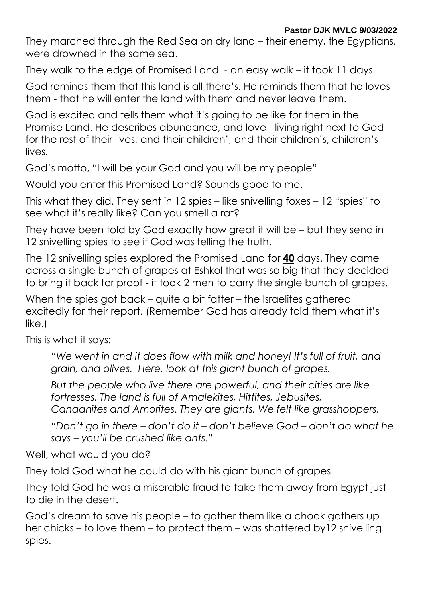They marched through the Red Sea on dry land – their enemy, the Egyptians, were drowned in the same sea.

They walk to the edge of Promised Land - an easy walk – it took 11 days.

God reminds them that this land is all there's. He reminds them that he loves them - that he will enter the land with them and never leave them.

God is excited and tells them what it's going to be like for them in the Promise Land. He describes abundance, and love - living right next to God for the rest of their lives, and their children', and their children's, children's lives.

God's motto, "I will be your God and you will be my people"

Would you enter this Promised Land? Sounds good to me.

This what they did. They sent in 12 spies – like snivelling foxes – 12 "spies" to see what it's really like? Can you smell a rat?

They have been told by God exactly how great it will be – but they send in 12 snivelling spies to see if God was telling the truth.

The 12 snivelling spies explored the Promised Land for **40** days. They came across a single bunch of grapes at Eshkol that was so big that they decided to bring it back for proof - it took 2 men to carry the single bunch of grapes.

When the spies got back – quite a bit fatter – the Israelites gathered excitedly for their report. (Remember God has already told them what it's like.)

This is what it says:

*"We went in and it does flow with milk and honey! It's full of fruit, and grain, and olives. Here, look at this giant bunch of grapes.* 

*But the people who live there are powerful, and their cities are like fortresses. The land is full of Amalekites, Hittites, Jebusites, Canaanites and Amorites. They are giants. We felt like grasshoppers.* 

*"Don't go in there – don't do it – don't believe God – don't do what he says – you'll be crushed like ants."* 

Well, what would you do?

They told God what he could do with his giant bunch of grapes.

They told God he was a miserable fraud to take them away from Egypt just to die in the desert.

God's dream to save his people – to gather them like a chook gathers up her chicks – to love them – to protect them – was shattered by12 snivelling spies.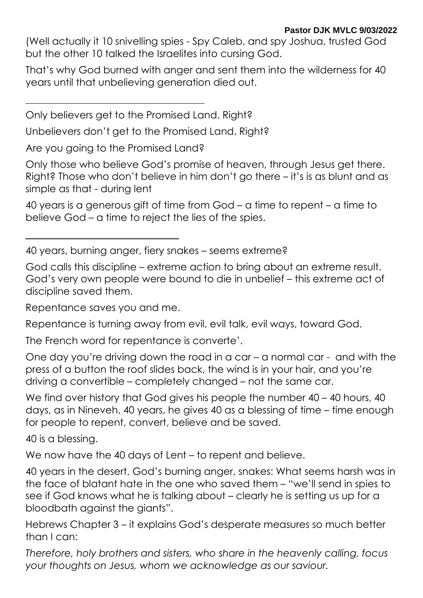(Well actually it 10 snivelling spies - Spy Caleb, and spy Joshua, trusted God but the other 10 talked the Israelites into cursing God.

That's why God burned with anger and sent them into the wilderness for 40 years until that unbelieving generation died out.

Only believers get to the Promised Land. Right?

Unbelievers don't get to the Promised Land. Right?

Are you going to the Promised Land?

Only those who believe God's promise of heaven, through Jesus get there. Right? Those who don't believe in him don't go there – it's is as blunt and as simple as that - during lent

40 years is a generous gift of time from God – a time to repent – a time to believe God – a time to reject the lies of the spies.

40 years, burning anger, fiery snakes – seems extreme?

God calls this discipline – extreme action to bring about an extreme result. God's very own people were bound to die in unbelief – this extreme act of discipline saved them.

Repentance saves you and me.

Repentance is turning away from evil, evil talk, evil ways, toward God.

The French word for repentance is converte'.

One day you're driving down the road in a car – a normal car - and with the press of a button the roof slides back, the wind is in your hair, and you're driving a convertible – completely changed – not the same car.

We find over history that God gives his people the number 40 – 40 hours, 40 days, as in Nineveh, 40 years, he gives 40 as a blessing of time – time enough for people to repent, convert, believe and be saved.

40 is a blessing.

We now have the 40 days of Lent – to repent and believe.

40 years in the desert, God's burning anger, snakes: What seems harsh was in the face of blatant hate in the one who saved them – "we'll send in spies to see if God knows what he is talking about – clearly he is setting us up for a bloodbath against the giants".

Hebrews Chapter 3 – it explains God's desperate measures so much better than I can:

*Therefore, holy brothers and sisters, who share in the heavenly calling, focus your thoughts on Jesus, whom we acknowledge as our saviour.*